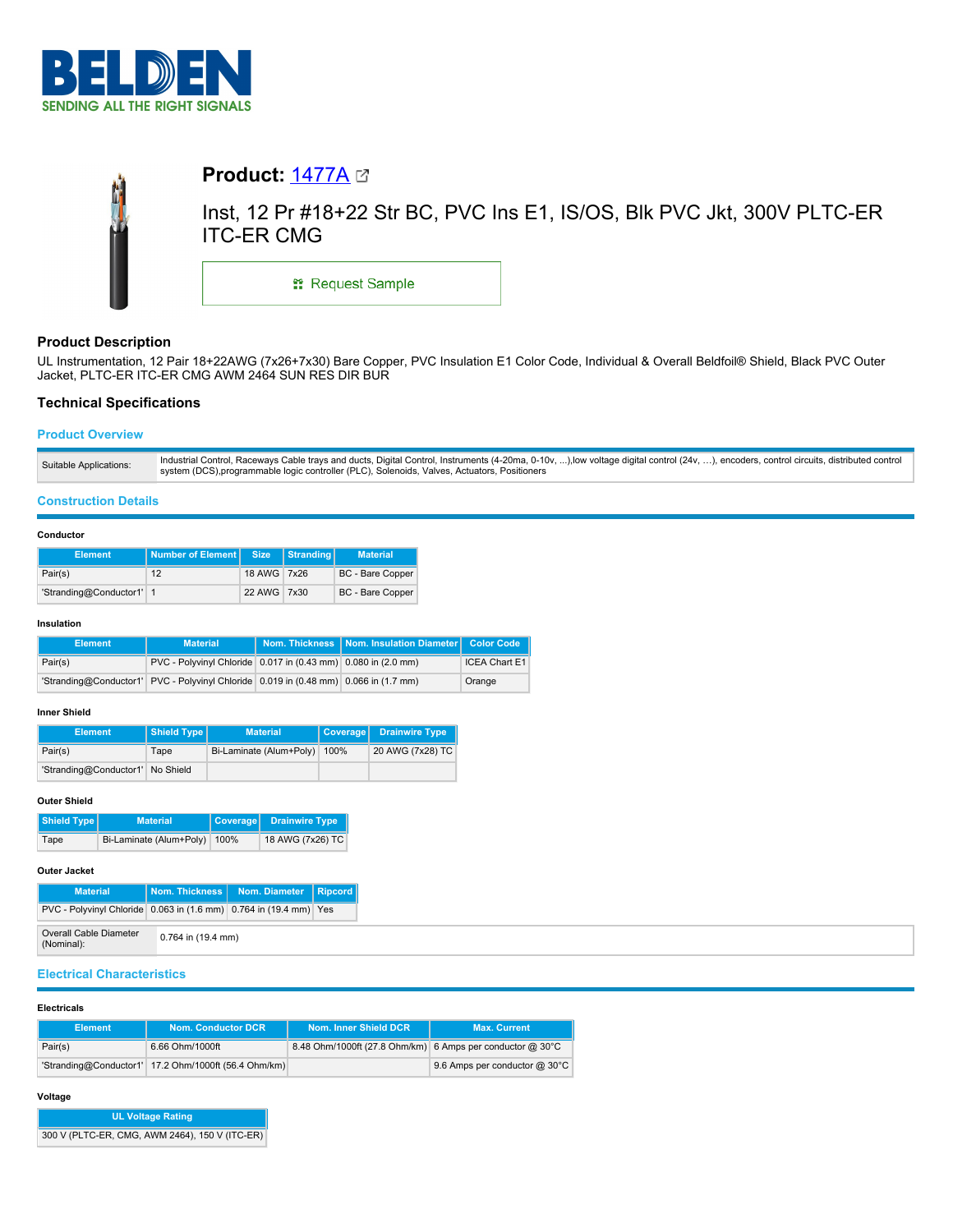



# **Product Description**

UL Instrumentation, 12 Pair 18+22AWG (7x26+7x30) Bare Copper, PVC Insulation E1 Color Code, Individual & Overall Beldfoil® Shield, Black PVC Outer Jacket, PLTC-ER ITC-ER CMG AWM 2464 SUN RES DIR BUR

# **Technical Specifications**

## **Product Overview**

## **Construction Details**

### **Conductor**

| <b>Element</b>           | Number of Element Size |             | Stranding | <b>Material</b>         |
|--------------------------|------------------------|-------------|-----------|-------------------------|
| Pair(s)                  | 12                     | 18 AWG 7x26 |           | <b>BC</b> - Bare Copper |
| 'Stranding@Conductor1' 1 |                        | 22 AWG 7x30 |           | <b>BC</b> - Bare Copper |

### **Insulation**

| Element | <b>Material</b>                                                                      | Nom. Thickness   Nom. Insulation Diameter   Color Code |               |
|---------|--------------------------------------------------------------------------------------|--------------------------------------------------------|---------------|
| Pair(s) | PVC - Polyvinyl Chloride 0.017 in (0.43 mm) 0.080 in (2.0 mm)                        |                                                        | ICEA Chart E1 |
|         | 'Stranding@Conductor1' PVC - Polyvinyl Chloride 0.019 in (0.48 mm) 0.066 in (1.7 mm) |                                                        | Orange        |

## **Inner Shield**

| <b>Element</b>                   | Shield Type | <b>Material</b>                | Coverage Drainwire Type |
|----------------------------------|-------------|--------------------------------|-------------------------|
| Pair(s)                          | Tape        | Bi-Laminate (Alum+Poly)   100% | 20 AWG (7x28) TC        |
| 'Stranding@Conductor1' No Shield |             |                                |                         |

### **Outer Shield**

| Shield Type | <b>Material</b>         | Coverage | Drainwire Type   |  |
|-------------|-------------------------|----------|------------------|--|
| Tape        | Bi-Laminate (Alum+Poly) | 100%     | 18 AWG (7x26) TC |  |

## **Outer Jacket**

| <b>Material</b>                                                   |                    | Nom. Thickness   Nom. Diameter   Ripcord |  |
|-------------------------------------------------------------------|--------------------|------------------------------------------|--|
| PVC - Polyvinyl Chloride 0.063 in (1.6 mm) 0.764 in (19.4 mm) Yes |                    |                                          |  |
| <b>Overall Cable Diameter</b><br>(Nominal):                       | 0.764 in (19.4 mm) |                                          |  |

# **Electrical Characteristics**

### **Electricals**

| <b>Element</b> | Nom. Conductor DCR                                   | Nom. Inner Shield DCR                                     | <b>Max. Current</b>           |
|----------------|------------------------------------------------------|-----------------------------------------------------------|-------------------------------|
| Pair(s)        | 6.66 Ohm/1000ft                                      | 8.48 Ohm/1000ft (27.8 Ohm/km) 6 Amps per conductor @ 30°C |                               |
|                | 'Stranding@Conductor1' 17.2 Ohm/1000ft (56.4 Ohm/km) |                                                           | 9.6 Amps per conductor @ 30°C |

## **Voltage**

| <b>UL Voltage Rating</b>                       |
|------------------------------------------------|
| 300 V (PLTC-ER, CMG, AWM 2464), 150 V (ITC-ER) |